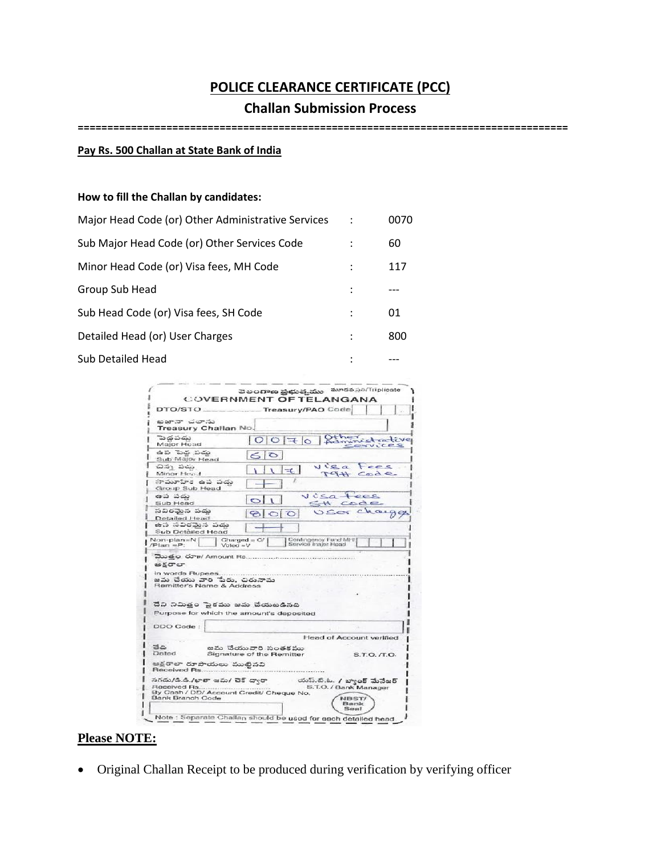# **POLICE CLEARANCE CERTIFICATE (PCC)**

### **Challan Submission Process**

**===================================================================================**

#### **Pay Rs. 500 Challan at State Bank of India**

### **How to fill the Challan by candidates:**

| Major Head Code (or) Other Administrative Services | 0070 |
|----------------------------------------------------|------|
| Sub Major Head Code (or) Other Services Code       | 60   |
| Minor Head Code (or) Visa fees, MH Code            | 117  |
| Group Sub Head                                     |      |
| Sub Head Code (or) Visa fees, SH Code              | 01   |
| Detailed Head (or) User Charges                    | 800  |
| <b>Sub Detailed Head</b>                           |      |

|                                                                                                                      | <b>COVERNMENT OF TELANGANA</b>                                       |
|----------------------------------------------------------------------------------------------------------------------|----------------------------------------------------------------------|
| DTO/STO_                                                                                                             | Treasury/PAO Code                                                    |
| బజానా చలాను<br>Treasury Challan No.                                                                                  |                                                                      |
| పెద్దపడు<br>Major Head                                                                                               | Otheristsative<br>$O O $ <sup><math>\pm</math></sup> $O$<br>CONVICER |
| ఉప పెద్ద పదు<br>Sub Major Head                                                                                       | 60                                                                   |
| చివృ పడు<br>Minor Head                                                                                               | $u$ is $a$<br>Fees<br>÷.<br>MAH Code                                 |
| సామూహిక ఉప పదు<br>Group Sub Head                                                                                     |                                                                      |
| ఉప పదు<br>Sub Head                                                                                                   | Visatees<br>St code                                                  |
| సవిరమేన పదు<br>Detailed Head                                                                                         | USOF charge                                                          |
| ఉప సవిరమైన పదు<br>Sub Detailed Head                                                                                  |                                                                      |
| Non-plan=N<br>$Plan = P$ :<br>$V$ oteci » $V$                                                                        | Contingency Fund MH<br>$Charged = C/$<br>Service major Head          |
| మొతం రూ <i>॥</i> / Amount Rs<br>అకరాలా<br>in words Rupees<br>జమ చేయు వారి పేరు, చిరునామ<br>Remitter's Name & Address |                                                                      |
|                                                                                                                      |                                                                      |
|                                                                                                                      |                                                                      |
| దేవి నిమిత్తం పైకము జమ చేయబడినది                                                                                     |                                                                      |
| Purpose for which the amount's deposited                                                                             |                                                                      |
| DDO Code:                                                                                                            |                                                                      |
|                                                                                                                      | <b>Head of Account verified</b>                                      |
| తేతి<br>Dated                                                                                                        | జమ చేయువారి సంతకము<br>Signature of the Remitter<br>S.T.O. /T.O.      |
| ఆక్షరాలా రూపాయలు ముట్టినవి<br>Received Rs                                                                            |                                                                      |
| సగదు/డి.డి./ఖాతా జమ/ చెక్ దాఁరా<br>Received Rs<br>By Cash / DD/ Account Credit/ Cheque No.<br>Bank Branch Code       | యస్.టి.ఓ. / బ్యాంక్ మేనేజర్<br>S.T.O. / Bank Manager<br>NBST/        |

# **Please NOTE:**

Original Challan Receipt to be produced during verification by verifying officer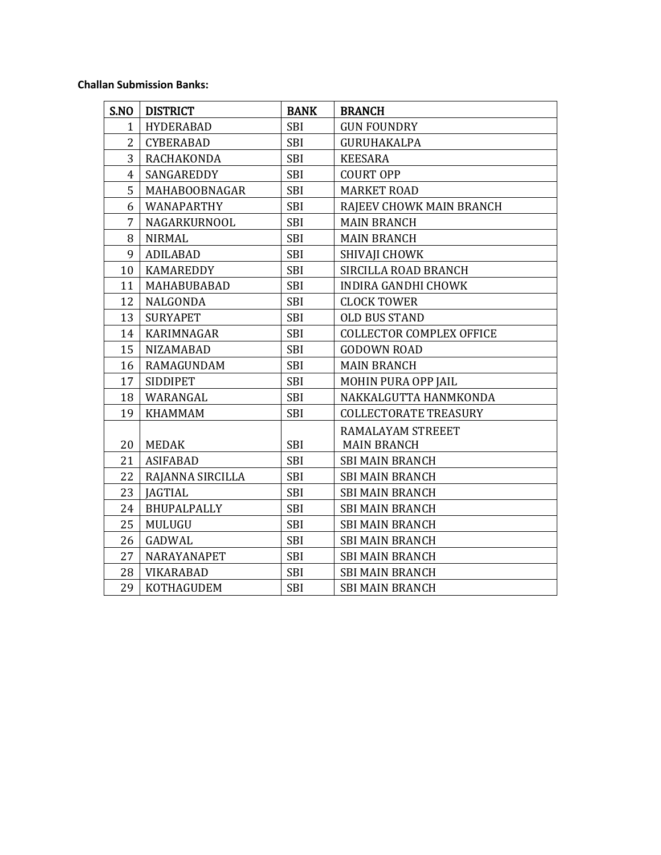### **Challan Submission Banks:**

| S.NO           | <b>DISTRICT</b>   | <b>BANK</b> | <b>BRANCH</b>                   |
|----------------|-------------------|-------------|---------------------------------|
| $\mathbf{1}$   | <b>HYDERABAD</b>  | <b>SBI</b>  | <b>GUN FOUNDRY</b>              |
| $\overline{2}$ | <b>CYBERABAD</b>  | <b>SBI</b>  | GURUHAKALPA                     |
| 3              | RACHAKONDA        | <b>SBI</b>  | <b>KEESARA</b>                  |
| $\overline{4}$ | SANGAREDDY        | <b>SBI</b>  | <b>COURT OPP</b>                |
| 5              | MAHABOOBNAGAR     | <b>SBI</b>  | <b>MARKET ROAD</b>              |
| 6              | WANAPARTHY        | <b>SBI</b>  | RAJEEV CHOWK MAIN BRANCH        |
| 7              | NAGARKURNOOL      | <b>SBI</b>  | <b>MAIN BRANCH</b>              |
| 8              | <b>NIRMAL</b>     | <b>SBI</b>  | <b>MAIN BRANCH</b>              |
| 9              | <b>ADILABAD</b>   | <b>SBI</b>  | SHIVAJI CHOWK                   |
| 10             | KAMAREDDY         | <b>SBI</b>  | SIRCILLA ROAD BRANCH            |
| 11             | MAHABUBABAD       | <b>SBI</b>  | <b>INDIRA GANDHI CHOWK</b>      |
| 12             | NALGONDA          | <b>SBI</b>  | <b>CLOCK TOWER</b>              |
| 13             | <b>SURYAPET</b>   | <b>SBI</b>  | <b>OLD BUS STAND</b>            |
| 14             | KARIMNAGAR        | <b>SBI</b>  | <b>COLLECTOR COMPLEX OFFICE</b> |
| 15             | <b>NIZAMABAD</b>  | <b>SBI</b>  | <b>GODOWN ROAD</b>              |
| 16             | <b>RAMAGUNDAM</b> | <b>SBI</b>  | <b>MAIN BRANCH</b>              |
| 17             | <b>SIDDIPET</b>   | <b>SBI</b>  | MOHIN PURA OPP JAIL             |
| 18             | WARANGAL          | <b>SBI</b>  | NAKKALGUTTA HANMKONDA           |
| 19             | <b>KHAMMAM</b>    | <b>SBI</b>  | <b>COLLECTORATE TREASURY</b>    |
|                |                   |             | RAMALAYAM STREEET               |
| 20             | <b>MEDAK</b>      | SBI         | <b>MAIN BRANCH</b>              |
| 21             | <b>ASIFABAD</b>   | <b>SBI</b>  | <b>SBI MAIN BRANCH</b>          |
| 22             | RAJANNA SIRCILLA  | <b>SBI</b>  | <b>SBI MAIN BRANCH</b>          |
| 23             | <b>JAGTIAL</b>    | <b>SBI</b>  | <b>SBI MAIN BRANCH</b>          |
| 24             | BHUPALPALLY       | <b>SBI</b>  | <b>SBI MAIN BRANCH</b>          |
| 25             | MULUGU            | <b>SBI</b>  | <b>SBI MAIN BRANCH</b>          |
| 26             | <b>GADWAL</b>     | <b>SBI</b>  | <b>SBI MAIN BRANCH</b>          |
| 27             | NARAYANAPET       | <b>SBI</b>  | <b>SBI MAIN BRANCH</b>          |
| 28             | <b>VIKARABAD</b>  | <b>SBI</b>  | <b>SBI MAIN BRANCH</b>          |
| 29             | KOTHAGUDEM        | <b>SBI</b>  | <b>SBI MAIN BRANCH</b>          |